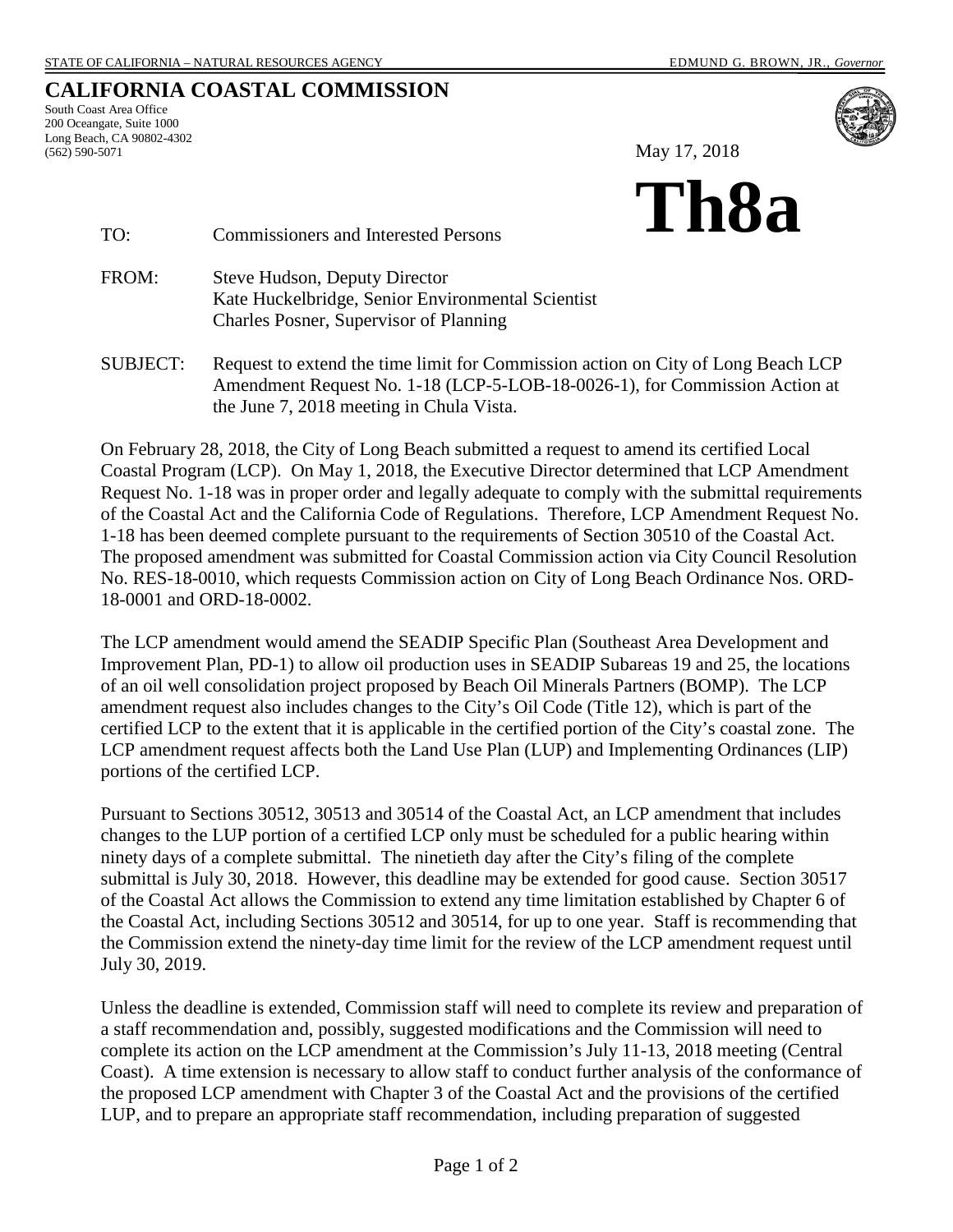## **CALIFORNIA COASTAL COMMISSION**

South Coast Area Office 200 Oceangate, Suite 1000 Long Beach, CA 90802-4302 (562) 590-5071



May 17, 2018



#### TO: Commissioners and Interested Persons

FROM: Steve Hudson, Deputy Director Kate Huckelbridge, Senior Environmental Scientist Charles Posner, Supervisor of Planning

SUBJECT: Request to extend the time limit for Commission action on City of Long Beach LCP Amendment Request No. 1-18 (LCP-5-LOB-18-0026-1), for Commission Action at the June 7, 2018 meeting in Chula Vista.

On February 28, 2018, the City of Long Beach submitted a request to amend its certified Local Coastal Program (LCP). On May 1, 2018, the Executive Director determined that LCP Amendment Request No. 1-18 was in proper order and legally adequate to comply with the submittal requirements of the Coastal Act and the California Code of Regulations. Therefore, LCP Amendment Request No. 1-18 has been deemed complete pursuant to the requirements of Section 30510 of the Coastal Act. The proposed amendment was submitted for Coastal Commission action via City Council Resolution No. RES-18-0010, which requests Commission action on City of Long Beach Ordinance Nos. ORD-18-0001 and ORD-18-0002.

The LCP amendment would amend the SEADIP Specific Plan (Southeast Area Development and Improvement Plan, PD-1) to allow oil production uses in SEADIP Subareas 19 and 25, the locations of an oil well consolidation project proposed by Beach Oil Minerals Partners (BOMP). The LCP amendment request also includes changes to the City's Oil Code (Title 12), which is part of the certified LCP to the extent that it is applicable in the certified portion of the City's coastal zone. The LCP amendment request affects both the Land Use Plan (LUP) and Implementing Ordinances (LIP) portions of the certified LCP.

Pursuant to Sections 30512, 30513 and 30514 of the Coastal Act, an LCP amendment that includes changes to the LUP portion of a certified LCP only must be scheduled for a public hearing within ninety days of a complete submittal. The ninetieth day after the City's filing of the complete submittal is July 30, 2018. However, this deadline may be extended for good cause. Section 30517 of the Coastal Act allows the Commission to extend any time limitation established by Chapter 6 of the Coastal Act, including Sections 30512 and 30514, for up to one year. Staff is recommending that the Commission extend the ninety-day time limit for the review of the LCP amendment request until July 30, 2019.

Unless the deadline is extended, Commission staff will need to complete its review and preparation of a staff recommendation and, possibly, suggested modifications and the Commission will need to complete its action on the LCP amendment at the Commission's July 11-13, 2018 meeting (Central Coast). A time extension is necessary to allow staff to conduct further analysis of the conformance of the proposed LCP amendment with Chapter 3 of the Coastal Act and the provisions of the certified LUP, and to prepare an appropriate staff recommendation, including preparation of suggested